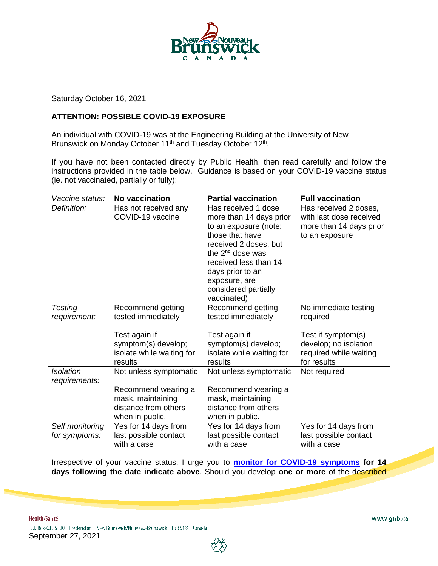

Saturday October 16, 2021

## **ATTENTION: POSSIBLE COVID-19 EXPOSURE**

An individual with COVID-19 was at the Engineering Building at the University of New Brunswick on Monday October 11<sup>th</sup> and Tuesday October 12<sup>th</sup>.

If you have not been contacted directly by Public Health, then read carefully and follow the instructions provided in the table below. Guidance is based on your COVID-19 vaccine status (ie. not vaccinated, partially or fully):

| Vaccine status:  | No vaccination            | <b>Partial vaccination</b>   | <b>Full vaccination</b>                     |
|------------------|---------------------------|------------------------------|---------------------------------------------|
| Definition:      | Has not received any      | Has received 1 dose          | Has received 2 doses,                       |
|                  | COVID-19 vaccine          | more than 14 days prior      | with last dose received                     |
|                  |                           | to an exposure (note:        | more than 14 days prior                     |
|                  |                           | those that have              | to an exposure                              |
|                  |                           | received 2 doses, but        |                                             |
|                  |                           | the 2 <sup>nd</sup> dose was |                                             |
|                  |                           | received less than 14        |                                             |
|                  |                           | days prior to an             |                                             |
|                  |                           | exposure, are                |                                             |
|                  |                           | considered partially         |                                             |
|                  |                           | vaccinated)                  |                                             |
| Testing          | Recommend getting         | Recommend getting            | No immediate testing                        |
| requirement:     | tested immediately        | tested immediately           | required                                    |
|                  | Test again if             | Test again if                |                                             |
|                  | symptom(s) develop;       | symptom(s) develop;          | Test if symptom(s)<br>develop; no isolation |
|                  | isolate while waiting for | isolate while waiting for    | required while waiting                      |
|                  | results                   | results                      | for results                                 |
| <b>Isolation</b> | Not unless symptomatic    | Not unless symptomatic       | Not required                                |
| requirements:    |                           |                              |                                             |
|                  | Recommend wearing a       | Recommend wearing a          |                                             |
|                  | mask, maintaining         | mask, maintaining            |                                             |
|                  | distance from others      | distance from others         |                                             |
|                  | when in public.           | when in public.              |                                             |
| Self monitoring  | Yes for 14 days from      | Yes for 14 days from         | Yes for 14 days from                        |
| for symptoms:    | last possible contact     | last possible contact        | last possible contact                       |
|                  | with a case               | with a case                  | with a case                                 |

Irrespective of your vaccine status, I urge you to **[monitor for COVID-19](https://www2.gnb.ca/content/dam/gnb/Departments/eco-bce/Promo/covid-19/self-monitor_newsymptoms-e.pdf) symptoms for 14 days following the date indicate above**. Should you develop **one or more** of the described